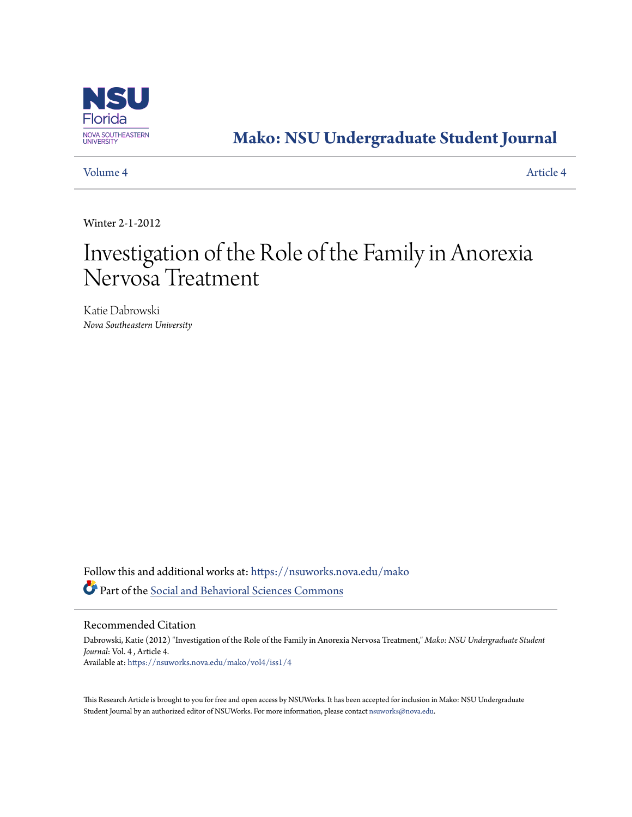

# **[Mako: NSU Undergraduate Student Journal](https://nsuworks.nova.edu/mako?utm_source=nsuworks.nova.edu%2Fmako%2Fvol4%2Fiss1%2F4&utm_medium=PDF&utm_campaign=PDFCoverPages)**

[Volume 4](https://nsuworks.nova.edu/mako/vol4?utm_source=nsuworks.nova.edu%2Fmako%2Fvol4%2Fiss1%2F4&utm_medium=PDF&utm_campaign=PDFCoverPages) [Article 4](https://nsuworks.nova.edu/mako/vol4/iss1/4?utm_source=nsuworks.nova.edu%2Fmako%2Fvol4%2Fiss1%2F4&utm_medium=PDF&utm_campaign=PDFCoverPages)

Winter 2-1-2012

# Investigation of the Role of the Family in Anorexia Nervosa Treatment

Katie Dabrowski *Nova Southeastern University*

Follow this and additional works at: [https://nsuworks.nova.edu/mako](https://nsuworks.nova.edu/mako?utm_source=nsuworks.nova.edu%2Fmako%2Fvol4%2Fiss1%2F4&utm_medium=PDF&utm_campaign=PDFCoverPages) Part of the [Social and Behavioral Sciences Commons](http://network.bepress.com/hgg/discipline/316?utm_source=nsuworks.nova.edu%2Fmako%2Fvol4%2Fiss1%2F4&utm_medium=PDF&utm_campaign=PDFCoverPages)

Recommended Citation

Dabrowski, Katie (2012) "Investigation of the Role of the Family in Anorexia Nervosa Treatment," *Mako: NSU Undergraduate Student Journal*: Vol. 4 , Article 4. Available at: [https://nsuworks.nova.edu/mako/vol4/iss1/4](https://nsuworks.nova.edu/mako/vol4/iss1/4?utm_source=nsuworks.nova.edu%2Fmako%2Fvol4%2Fiss1%2F4&utm_medium=PDF&utm_campaign=PDFCoverPages)

This Research Article is brought to you for free and open access by NSUWorks. It has been accepted for inclusion in Mako: NSU Undergraduate Student Journal by an authorized editor of NSUWorks. For more information, please contact [nsuworks@nova.edu](mailto:nsuworks@nova.edu).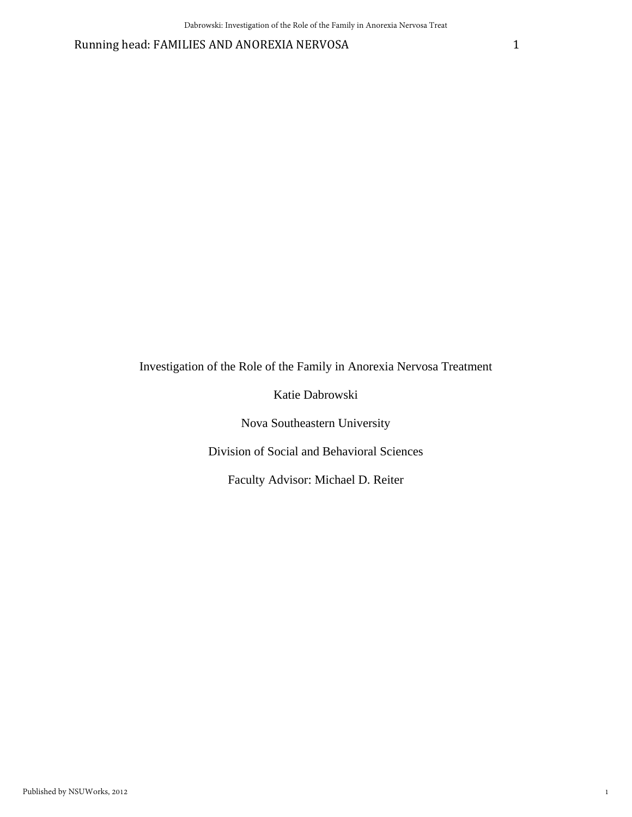Running head: FAMILIES AND ANOREXIA NERVOSA 1

Investigation of the Role of the Family in Anorexia Nervosa Treatment

Katie Dabrowski

Nova Southeastern University

Division of Social and Behavioral Sciences

Faculty Advisor: Michael D. Reiter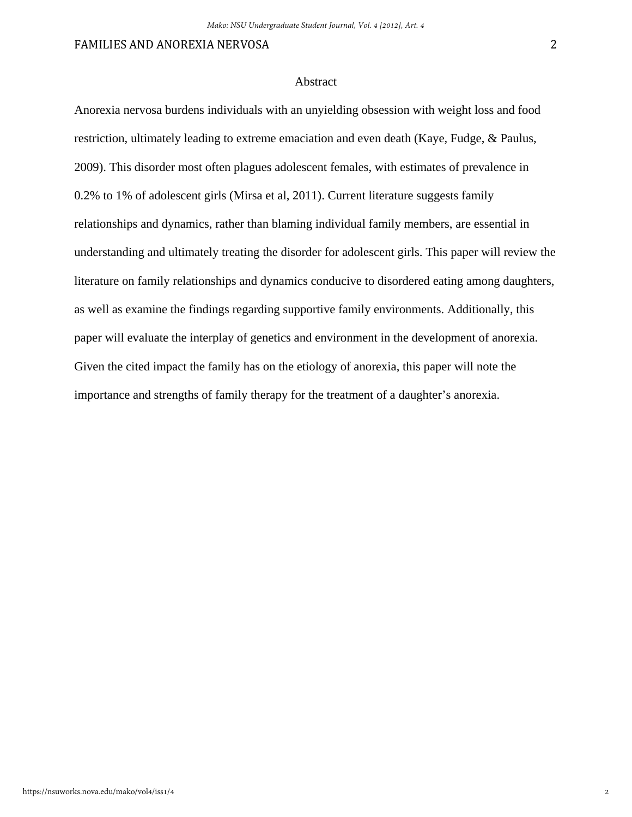#### Abstract

Anorexia nervosa burdens individuals with an unyielding obsession with weight loss and food restriction, ultimately leading to extreme emaciation and even death (Kaye, Fudge, & Paulus, 2009). This disorder most often plagues adolescent females, with estimates of prevalence in 0.2% to 1% of adolescent girls (Mirsa et al, 2011). Current literature suggests family relationships and dynamics, rather than blaming individual family members, are essential in understanding and ultimately treating the disorder for adolescent girls. This paper will review the literature on family relationships and dynamics conducive to disordered eating among daughters, as well as examine the findings regarding supportive family environments. Additionally, this paper will evaluate the interplay of genetics and environment in the development of anorexia. Given the cited impact the family has on the etiology of anorexia, this paper will note the importance and strengths of family therapy for the treatment of a daughter's anorexia.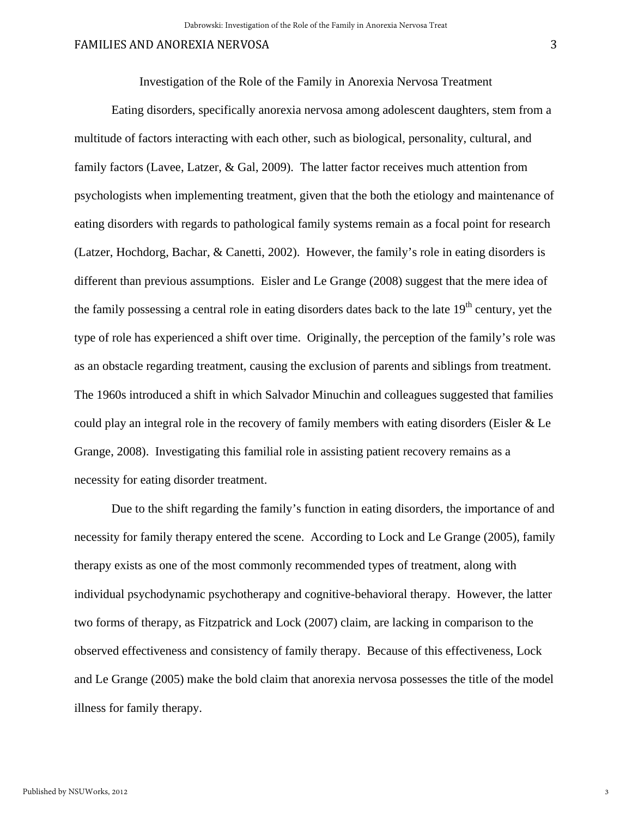Investigation of the Role of the Family in Anorexia Nervosa Treatment

 Eating disorders, specifically anorexia nervosa among adolescent daughters, stem from a multitude of factors interacting with each other, such as biological, personality, cultural, and family factors (Lavee, Latzer, & Gal, 2009). The latter factor receives much attention from psychologists when implementing treatment, given that the both the etiology and maintenance of eating disorders with regards to pathological family systems remain as a focal point for research (Latzer, Hochdorg, Bachar, & Canetti, 2002). However, the family's role in eating disorders is different than previous assumptions. Eisler and Le Grange (2008) suggest that the mere idea of the family possessing a central role in eating disorders dates back to the late  $19<sup>th</sup>$  century, yet the type of role has experienced a shift over time. Originally, the perception of the family's role was as an obstacle regarding treatment, causing the exclusion of parents and siblings from treatment. The 1960s introduced a shift in which Salvador Minuchin and colleagues suggested that families could play an integral role in the recovery of family members with eating disorders (Eisler & Le Grange, 2008). Investigating this familial role in assisting patient recovery remains as a necessity for eating disorder treatment.

 Due to the shift regarding the family's function in eating disorders, the importance of and necessity for family therapy entered the scene. According to Lock and Le Grange (2005), family therapy exists as one of the most commonly recommended types of treatment, along with individual psychodynamic psychotherapy and cognitive-behavioral therapy. However, the latter two forms of therapy, as Fitzpatrick and Lock (2007) claim, are lacking in comparison to the observed effectiveness and consistency of family therapy. Because of this effectiveness, Lock and Le Grange (2005) make the bold claim that anorexia nervosa possesses the title of the model illness for family therapy.

3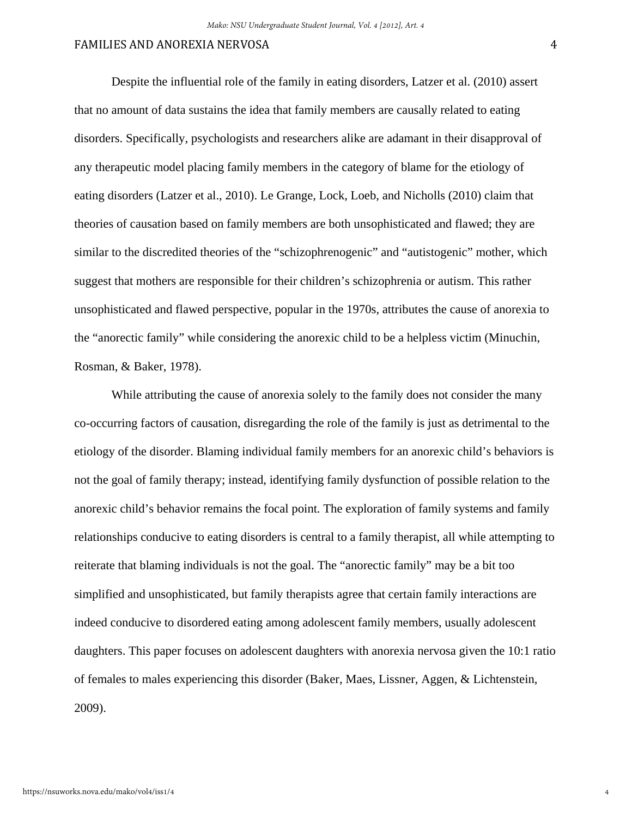Despite the influential role of the family in eating disorders, Latzer et al. (2010) assert that no amount of data sustains the idea that family members are causally related to eating disorders. Specifically, psychologists and researchers alike are adamant in their disapproval of any therapeutic model placing family members in the category of blame for the etiology of eating disorders (Latzer et al., 2010). Le Grange, Lock, Loeb, and Nicholls (2010) claim that theories of causation based on family members are both unsophisticated and flawed; they are similar to the discredited theories of the "schizophrenogenic" and "autistogenic" mother, which suggest that mothers are responsible for their children's schizophrenia or autism. This rather unsophisticated and flawed perspective, popular in the 1970s, attributes the cause of anorexia to the "anorectic family" while considering the anorexic child to be a helpless victim (Minuchin, Rosman, & Baker, 1978).

While attributing the cause of anorexia solely to the family does not consider the many co-occurring factors of causation, disregarding the role of the family is just as detrimental to the etiology of the disorder. Blaming individual family members for an anorexic child's behaviors is not the goal of family therapy; instead, identifying family dysfunction of possible relation to the anorexic child's behavior remains the focal point. The exploration of family systems and family relationships conducive to eating disorders is central to a family therapist, all while attempting to reiterate that blaming individuals is not the goal. The "anorectic family" may be a bit too simplified and unsophisticated, but family therapists agree that certain family interactions are indeed conducive to disordered eating among adolescent family members, usually adolescent daughters. This paper focuses on adolescent daughters with anorexia nervosa given the 10:1 ratio of females to males experiencing this disorder (Baker, Maes, Lissner, Aggen, & Lichtenstein, 2009).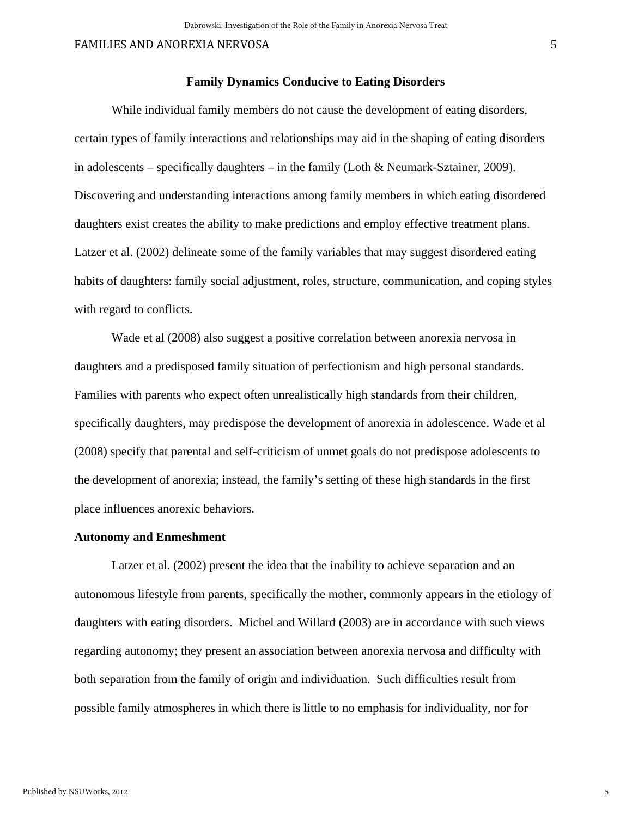#### **Family Dynamics Conducive to Eating Disorders**

 While individual family members do not cause the development of eating disorders, certain types of family interactions and relationships may aid in the shaping of eating disorders in adolescents – specifically daughters – in the family (Loth & Neumark-Sztainer, 2009). Discovering and understanding interactions among family members in which eating disordered daughters exist creates the ability to make predictions and employ effective treatment plans. Latzer et al. (2002) delineate some of the family variables that may suggest disordered eating habits of daughters: family social adjustment, roles, structure, communication, and coping styles with regard to conflicts.

 Wade et al (2008) also suggest a positive correlation between anorexia nervosa in daughters and a predisposed family situation of perfectionism and high personal standards. Families with parents who expect often unrealistically high standards from their children, specifically daughters, may predispose the development of anorexia in adolescence. Wade et al (2008) specify that parental and self-criticism of unmet goals do not predispose adolescents to the development of anorexia; instead, the family's setting of these high standards in the first place influences anorexic behaviors.

#### **Autonomy and Enmeshment**

 Latzer et al. (2002) present the idea that the inability to achieve separation and an autonomous lifestyle from parents, specifically the mother, commonly appears in the etiology of daughters with eating disorders. Michel and Willard (2003) are in accordance with such views regarding autonomy; they present an association between anorexia nervosa and difficulty with both separation from the family of origin and individuation. Such difficulties result from possible family atmospheres in which there is little to no emphasis for individuality, nor for

5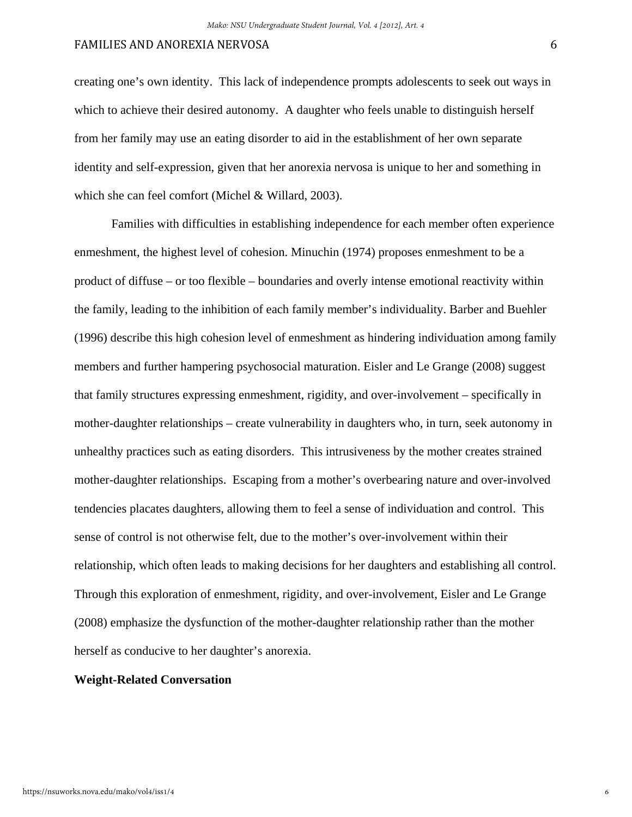creating one's own identity. This lack of independence prompts adolescents to seek out ways in which to achieve their desired autonomy. A daughter who feels unable to distinguish herself from her family may use an eating disorder to aid in the establishment of her own separate identity and self-expression, given that her anorexia nervosa is unique to her and something in which she can feel comfort (Michel & Willard, 2003).

 Families with difficulties in establishing independence for each member often experience enmeshment, the highest level of cohesion. Minuchin (1974) proposes enmeshment to be a product of diffuse – or too flexible – boundaries and overly intense emotional reactivity within the family, leading to the inhibition of each family member's individuality. Barber and Buehler (1996) describe this high cohesion level of enmeshment as hindering individuation among family members and further hampering psychosocial maturation. Eisler and Le Grange (2008) suggest that family structures expressing enmeshment, rigidity, and over-involvement – specifically in mother-daughter relationships – create vulnerability in daughters who, in turn, seek autonomy in unhealthy practices such as eating disorders. This intrusiveness by the mother creates strained mother-daughter relationships. Escaping from a mother's overbearing nature and over-involved tendencies placates daughters, allowing them to feel a sense of individuation and control. This sense of control is not otherwise felt, due to the mother's over-involvement within their relationship, which often leads to making decisions for her daughters and establishing all control. Through this exploration of enmeshment, rigidity, and over-involvement, Eisler and Le Grange (2008) emphasize the dysfunction of the mother-daughter relationship rather than the mother herself as conducive to her daughter's anorexia.

# **Weight-Related Conversation**

6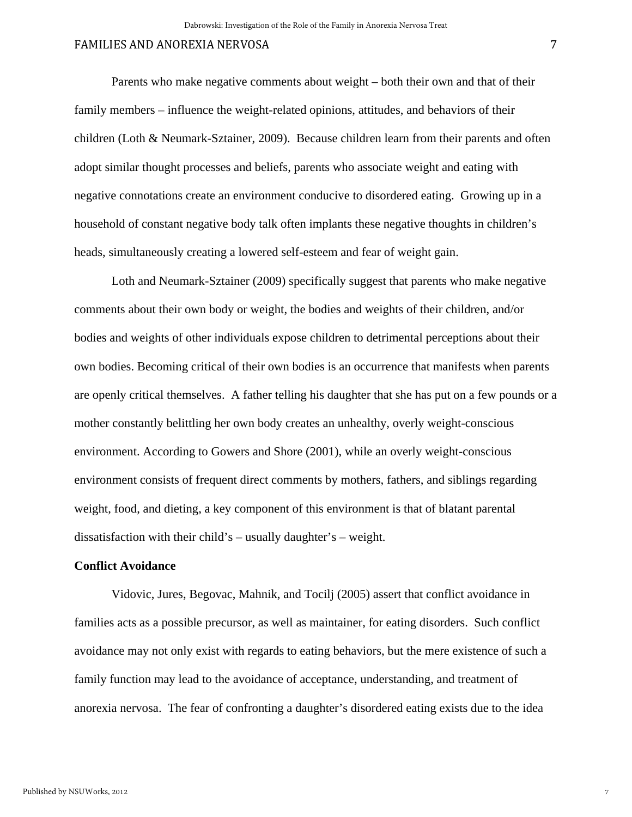Parents who make negative comments about weight – both their own and that of their family members – influence the weight-related opinions, attitudes, and behaviors of their children (Loth & Neumark-Sztainer, 2009). Because children learn from their parents and often adopt similar thought processes and beliefs, parents who associate weight and eating with negative connotations create an environment conducive to disordered eating. Growing up in a household of constant negative body talk often implants these negative thoughts in children's heads, simultaneously creating a lowered self-esteem and fear of weight gain.

Loth and Neumark-Sztainer (2009) specifically suggest that parents who make negative comments about their own body or weight, the bodies and weights of their children, and/or bodies and weights of other individuals expose children to detrimental perceptions about their own bodies. Becoming critical of their own bodies is an occurrence that manifests when parents are openly critical themselves. A father telling his daughter that she has put on a few pounds or a mother constantly belittling her own body creates an unhealthy, overly weight-conscious environment. According to Gowers and Shore (2001), while an overly weight-conscious environment consists of frequent direct comments by mothers, fathers, and siblings regarding weight, food, and dieting, a key component of this environment is that of blatant parental dissatisfaction with their child's – usually daughter's – weight.

#### **Conflict Avoidance**

 Vidovic, Jures, Begovac, Mahnik, and Tocilj (2005) assert that conflict avoidance in families acts as a possible precursor, as well as maintainer, for eating disorders. Such conflict avoidance may not only exist with regards to eating behaviors, but the mere existence of such a family function may lead to the avoidance of acceptance, understanding, and treatment of anorexia nervosa. The fear of confronting a daughter's disordered eating exists due to the idea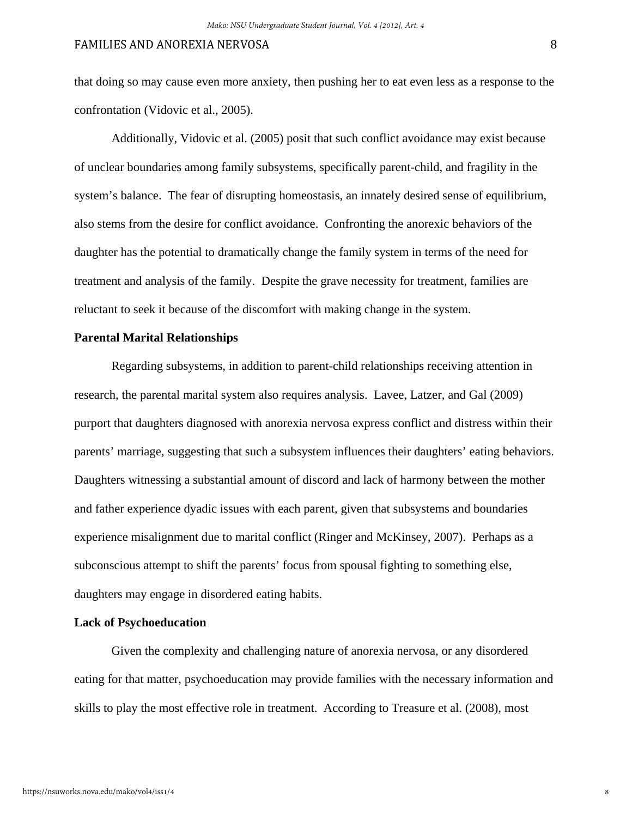that doing so may cause even more anxiety, then pushing her to eat even less as a response to the confrontation (Vidovic et al., 2005).

Additionally, Vidovic et al. (2005) posit that such conflict avoidance may exist because of unclear boundaries among family subsystems, specifically parent-child, and fragility in the system's balance. The fear of disrupting homeostasis, an innately desired sense of equilibrium, also stems from the desire for conflict avoidance. Confronting the anorexic behaviors of the daughter has the potential to dramatically change the family system in terms of the need for treatment and analysis of the family. Despite the grave necessity for treatment, families are reluctant to seek it because of the discomfort with making change in the system.

#### **Parental Marital Relationships**

 Regarding subsystems, in addition to parent-child relationships receiving attention in research, the parental marital system also requires analysis. Lavee, Latzer, and Gal (2009) purport that daughters diagnosed with anorexia nervosa express conflict and distress within their parents' marriage, suggesting that such a subsystem influences their daughters' eating behaviors. Daughters witnessing a substantial amount of discord and lack of harmony between the mother and father experience dyadic issues with each parent, given that subsystems and boundaries experience misalignment due to marital conflict (Ringer and McKinsey, 2007). Perhaps as a subconscious attempt to shift the parents' focus from spousal fighting to something else, daughters may engage in disordered eating habits.

#### **Lack of Psychoeducation**

Given the complexity and challenging nature of anorexia nervosa, or any disordered eating for that matter, psychoeducation may provide families with the necessary information and skills to play the most effective role in treatment. According to Treasure et al. (2008), most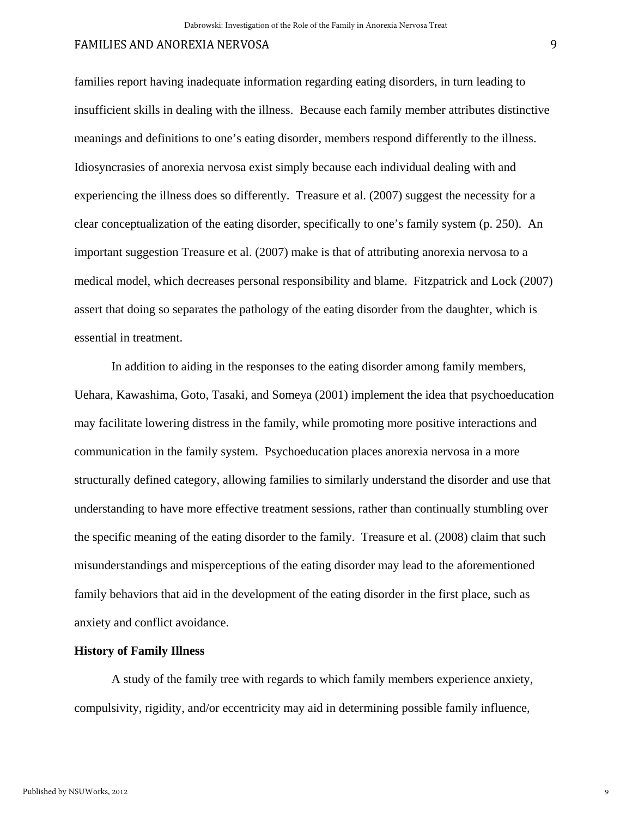families report having inadequate information regarding eating disorders, in turn leading to insufficient skills in dealing with the illness. Because each family member attributes distinctive meanings and definitions to one's eating disorder, members respond differently to the illness. Idiosyncrasies of anorexia nervosa exist simply because each individual dealing with and experiencing the illness does so differently. Treasure et al. (2007) suggest the necessity for a clear conceptualization of the eating disorder, specifically to one's family system (p. 250). An important suggestion Treasure et al. (2007) make is that of attributing anorexia nervosa to a medical model, which decreases personal responsibility and blame. Fitzpatrick and Lock (2007) assert that doing so separates the pathology of the eating disorder from the daughter, which is essential in treatment.

 In addition to aiding in the responses to the eating disorder among family members, Uehara, Kawashima, Goto, Tasaki, and Someya (2001) implement the idea that psychoeducation may facilitate lowering distress in the family, while promoting more positive interactions and communication in the family system. Psychoeducation places anorexia nervosa in a more structurally defined category, allowing families to similarly understand the disorder and use that understanding to have more effective treatment sessions, rather than continually stumbling over the specific meaning of the eating disorder to the family. Treasure et al. (2008) claim that such misunderstandings and misperceptions of the eating disorder may lead to the aforementioned family behaviors that aid in the development of the eating disorder in the first place, such as anxiety and conflict avoidance.

#### **History of Family Illness**

 A study of the family tree with regards to which family members experience anxiety, compulsivity, rigidity, and/or eccentricity may aid in determining possible family influence,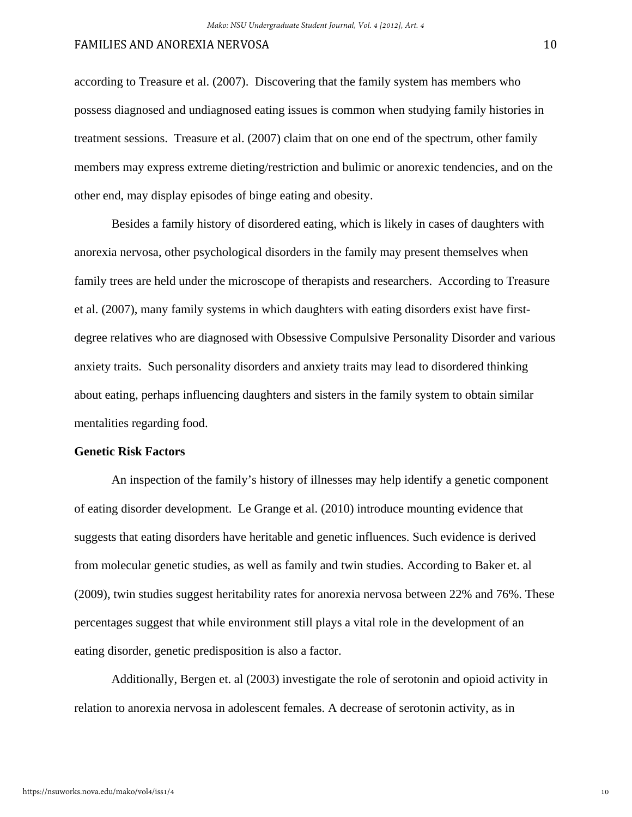according to Treasure et al. (2007). Discovering that the family system has members who possess diagnosed and undiagnosed eating issues is common when studying family histories in treatment sessions. Treasure et al. (2007) claim that on one end of the spectrum, other family members may express extreme dieting/restriction and bulimic or anorexic tendencies, and on the other end, may display episodes of binge eating and obesity.

 Besides a family history of disordered eating, which is likely in cases of daughters with anorexia nervosa, other psychological disorders in the family may present themselves when family trees are held under the microscope of therapists and researchers. According to Treasure et al. (2007), many family systems in which daughters with eating disorders exist have firstdegree relatives who are diagnosed with Obsessive Compulsive Personality Disorder and various anxiety traits. Such personality disorders and anxiety traits may lead to disordered thinking about eating, perhaps influencing daughters and sisters in the family system to obtain similar mentalities regarding food.

#### **Genetic Risk Factors**

An inspection of the family's history of illnesses may help identify a genetic component of eating disorder development. Le Grange et al. (2010) introduce mounting evidence that suggests that eating disorders have heritable and genetic influences. Such evidence is derived from molecular genetic studies, as well as family and twin studies. According to Baker et. al (2009), twin studies suggest heritability rates for anorexia nervosa between 22% and 76%. These percentages suggest that while environment still plays a vital role in the development of an eating disorder, genetic predisposition is also a factor.

Additionally, Bergen et. al (2003) investigate the role of serotonin and opioid activity in relation to anorexia nervosa in adolescent females. A decrease of serotonin activity, as in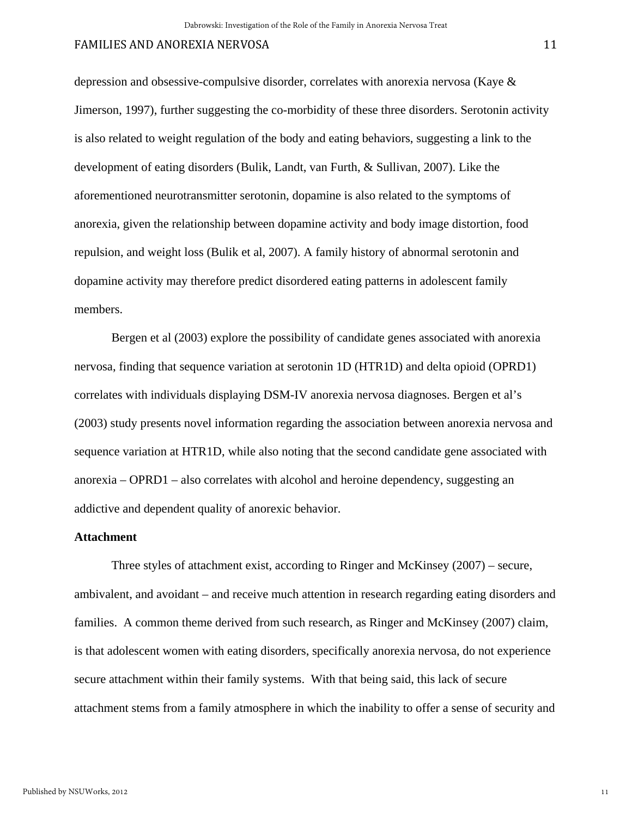depression and obsessive-compulsive disorder, correlates with anorexia nervosa (Kaye & Jimerson, 1997), further suggesting the co-morbidity of these three disorders. Serotonin activity is also related to weight regulation of the body and eating behaviors, suggesting a link to the development of eating disorders (Bulik, Landt, van Furth, & Sullivan, 2007). Like the aforementioned neurotransmitter serotonin, dopamine is also related to the symptoms of anorexia, given the relationship between dopamine activity and body image distortion, food repulsion, and weight loss (Bulik et al, 2007). A family history of abnormal serotonin and dopamine activity may therefore predict disordered eating patterns in adolescent family members.

Bergen et al (2003) explore the possibility of candidate genes associated with anorexia nervosa, finding that sequence variation at serotonin 1D (HTR1D) and delta opioid (OPRD1) correlates with individuals displaying DSM-IV anorexia nervosa diagnoses. Bergen et al's (2003) study presents novel information regarding the association between anorexia nervosa and sequence variation at HTR1D, while also noting that the second candidate gene associated with anorexia – OPRD1 – also correlates with alcohol and heroine dependency, suggesting an addictive and dependent quality of anorexic behavior.

#### **Attachment**

 Three styles of attachment exist, according to Ringer and McKinsey (2007) – secure, ambivalent, and avoidant – and receive much attention in research regarding eating disorders and families. A common theme derived from such research, as Ringer and McKinsey (2007) claim, is that adolescent women with eating disorders, specifically anorexia nervosa, do not experience secure attachment within their family systems. With that being said, this lack of secure attachment stems from a family atmosphere in which the inability to offer a sense of security and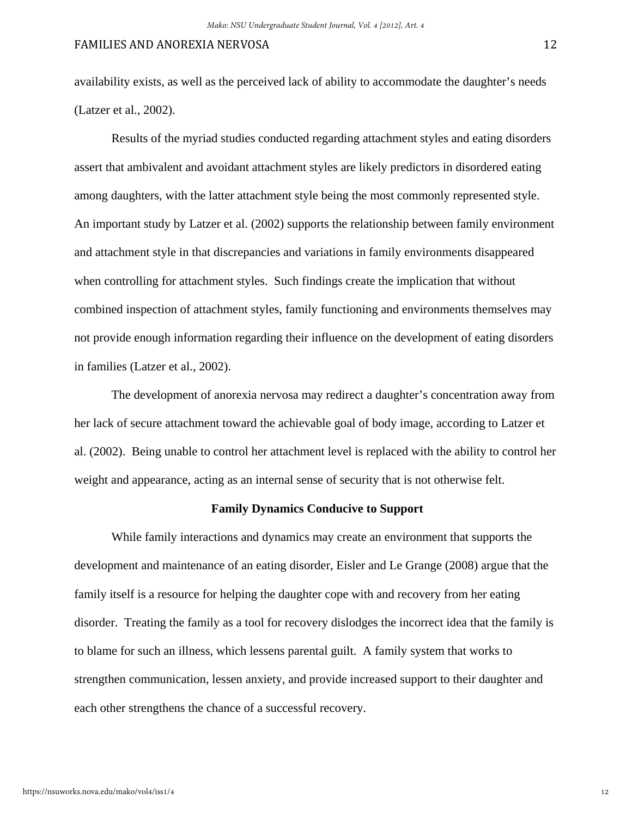availability exists, as well as the perceived lack of ability to accommodate the daughter's needs (Latzer et al., 2002).

 Results of the myriad studies conducted regarding attachment styles and eating disorders assert that ambivalent and avoidant attachment styles are likely predictors in disordered eating among daughters, with the latter attachment style being the most commonly represented style. An important study by Latzer et al. (2002) supports the relationship between family environment and attachment style in that discrepancies and variations in family environments disappeared when controlling for attachment styles. Such findings create the implication that without combined inspection of attachment styles, family functioning and environments themselves may not provide enough information regarding their influence on the development of eating disorders in families (Latzer et al., 2002).

 The development of anorexia nervosa may redirect a daughter's concentration away from her lack of secure attachment toward the achievable goal of body image, according to Latzer et al. (2002). Being unable to control her attachment level is replaced with the ability to control her weight and appearance, acting as an internal sense of security that is not otherwise felt.

#### **Family Dynamics Conducive to Support**

 While family interactions and dynamics may create an environment that supports the development and maintenance of an eating disorder, Eisler and Le Grange (2008) argue that the family itself is a resource for helping the daughter cope with and recovery from her eating disorder. Treating the family as a tool for recovery dislodges the incorrect idea that the family is to blame for such an illness, which lessens parental guilt. A family system that works to strengthen communication, lessen anxiety, and provide increased support to their daughter and each other strengthens the chance of a successful recovery.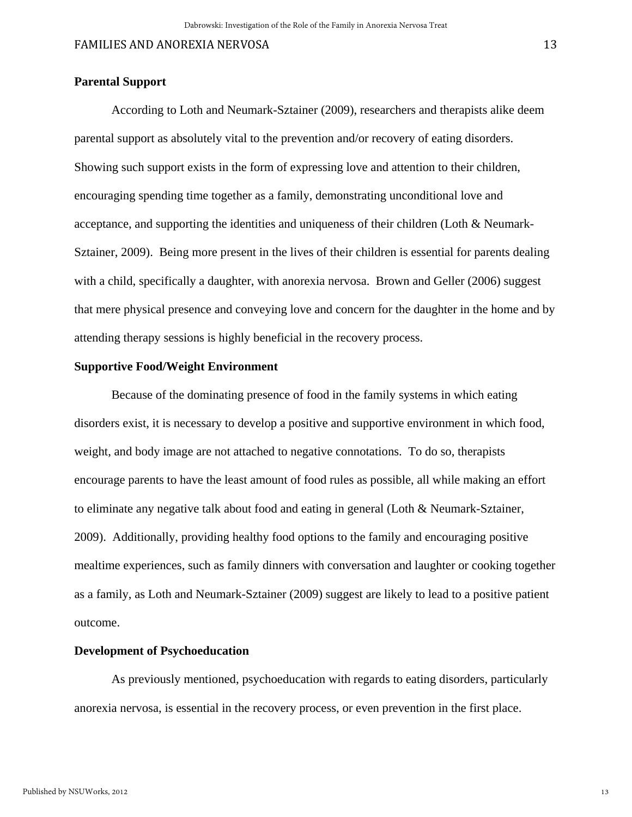# **Parental Support**

 According to Loth and Neumark-Sztainer (2009), researchers and therapists alike deem parental support as absolutely vital to the prevention and/or recovery of eating disorders. Showing such support exists in the form of expressing love and attention to their children, encouraging spending time together as a family, demonstrating unconditional love and acceptance, and supporting the identities and uniqueness of their children (Loth & Neumark-Sztainer, 2009). Being more present in the lives of their children is essential for parents dealing with a child, specifically a daughter, with anorexia nervosa. Brown and Geller (2006) suggest that mere physical presence and conveying love and concern for the daughter in the home and by attending therapy sessions is highly beneficial in the recovery process.

#### **Supportive Food/Weight Environment**

 Because of the dominating presence of food in the family systems in which eating disorders exist, it is necessary to develop a positive and supportive environment in which food, weight, and body image are not attached to negative connotations. To do so, therapists encourage parents to have the least amount of food rules as possible, all while making an effort to eliminate any negative talk about food and eating in general (Loth & Neumark-Sztainer, 2009). Additionally, providing healthy food options to the family and encouraging positive mealtime experiences, such as family dinners with conversation and laughter or cooking together as a family, as Loth and Neumark-Sztainer (2009) suggest are likely to lead to a positive patient outcome.

#### **Development of Psychoeducation**

As previously mentioned, psychoeducation with regards to eating disorders, particularly anorexia nervosa, is essential in the recovery process, or even prevention in the first place.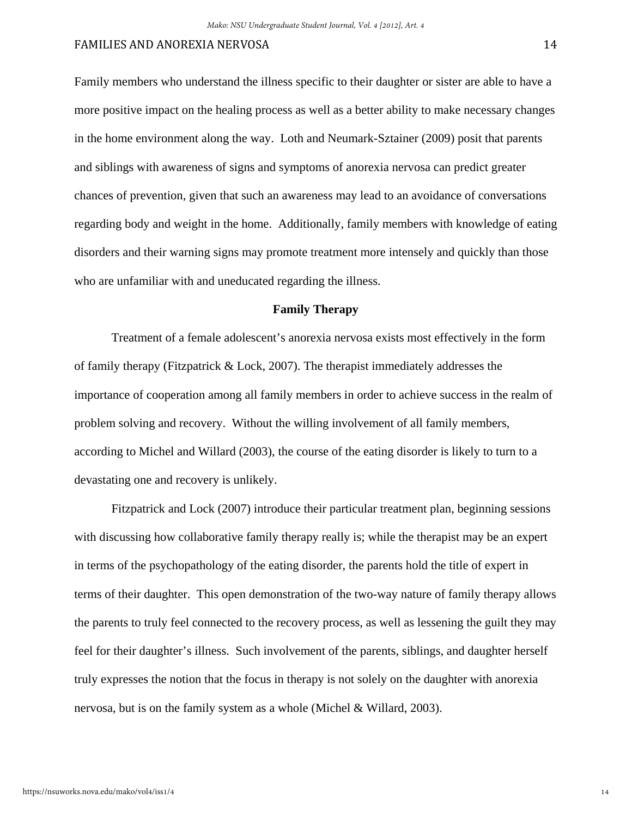Family members who understand the illness specific to their daughter or sister are able to have a more positive impact on the healing process as well as a better ability to make necessary changes in the home environment along the way. Loth and Neumark-Sztainer (2009) posit that parents and siblings with awareness of signs and symptoms of anorexia nervosa can predict greater chances of prevention, given that such an awareness may lead to an avoidance of conversations regarding body and weight in the home. Additionally, family members with knowledge of eating disorders and their warning signs may promote treatment more intensely and quickly than those who are unfamiliar with and uneducated regarding the illness.

#### **Family Therapy**

Treatment of a female adolescent's anorexia nervosa exists most effectively in the form of family therapy (Fitzpatrick & Lock, 2007). The therapist immediately addresses the importance of cooperation among all family members in order to achieve success in the realm of problem solving and recovery. Without the willing involvement of all family members, according to Michel and Willard (2003), the course of the eating disorder is likely to turn to a devastating one and recovery is unlikely.

Fitzpatrick and Lock (2007) introduce their particular treatment plan, beginning sessions with discussing how collaborative family therapy really is; while the therapist may be an expert in terms of the psychopathology of the eating disorder, the parents hold the title of expert in terms of their daughter. This open demonstration of the two-way nature of family therapy allows the parents to truly feel connected to the recovery process, as well as lessening the guilt they may feel for their daughter's illness. Such involvement of the parents, siblings, and daughter herself truly expresses the notion that the focus in therapy is not solely on the daughter with anorexia nervosa, but is on the family system as a whole (Michel & Willard, 2003).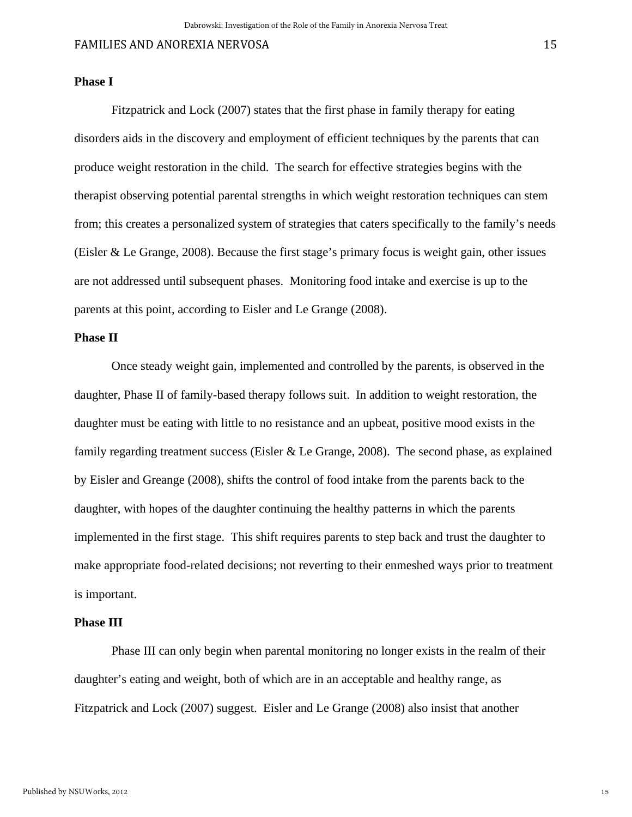#### **Phase I**

 Fitzpatrick and Lock (2007) states that the first phase in family therapy for eating disorders aids in the discovery and employment of efficient techniques by the parents that can produce weight restoration in the child. The search for effective strategies begins with the therapist observing potential parental strengths in which weight restoration techniques can stem from; this creates a personalized system of strategies that caters specifically to the family's needs (Eisler & Le Grange, 2008). Because the first stage's primary focus is weight gain, other issues are not addressed until subsequent phases. Monitoring food intake and exercise is up to the parents at this point, according to Eisler and Le Grange (2008).

# **Phase II**

 Once steady weight gain, implemented and controlled by the parents, is observed in the daughter, Phase II of family-based therapy follows suit. In addition to weight restoration, the daughter must be eating with little to no resistance and an upbeat, positive mood exists in the family regarding treatment success (Eisler  $&$  Le Grange, 2008). The second phase, as explained by Eisler and Greange (2008), shifts the control of food intake from the parents back to the daughter, with hopes of the daughter continuing the healthy patterns in which the parents implemented in the first stage. This shift requires parents to step back and trust the daughter to make appropriate food-related decisions; not reverting to their enmeshed ways prior to treatment is important.

#### **Phase III**

 Phase III can only begin when parental monitoring no longer exists in the realm of their daughter's eating and weight, both of which are in an acceptable and healthy range, as Fitzpatrick and Lock (2007) suggest. Eisler and Le Grange (2008) also insist that another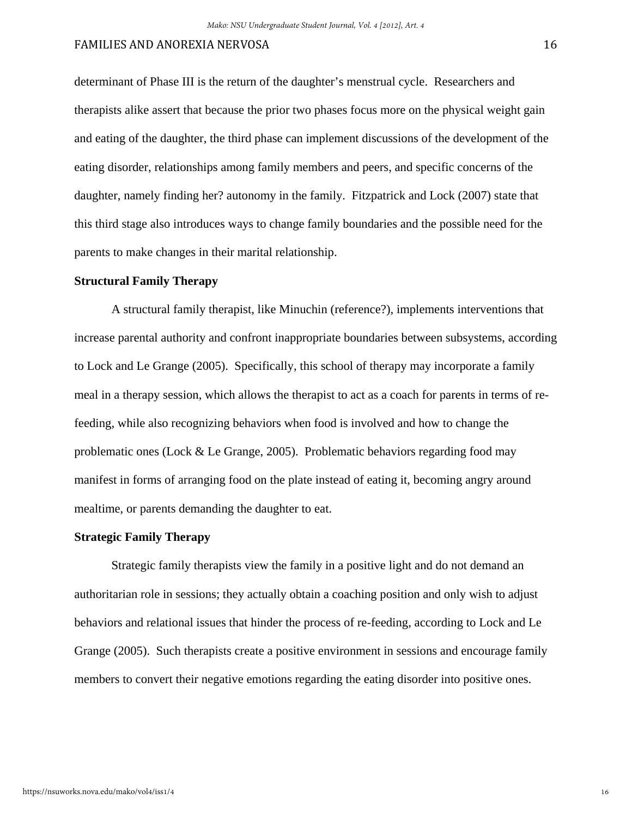# FAMILIES AND ANOREXIA NERVOSA **16** and 20 and 20 and 20 and 20 and 20 and 20 and 20 and 20 and 20 and 20 and 20 and 20 and 20 and 20 and 20 and 20 and 20 and 20 and 20 and 20 and 20 and 20 and 20 and 20 and 20 and 20 and 2

determinant of Phase III is the return of the daughter's menstrual cycle. Researchers and therapists alike assert that because the prior two phases focus more on the physical weight gain and eating of the daughter, the third phase can implement discussions of the development of the eating disorder, relationships among family members and peers, and specific concerns of the daughter, namely finding her? autonomy in the family. Fitzpatrick and Lock (2007) state that this third stage also introduces ways to change family boundaries and the possible need for the parents to make changes in their marital relationship.

#### **Structural Family Therapy**

 A structural family therapist, like Minuchin (reference?), implements interventions that increase parental authority and confront inappropriate boundaries between subsystems, according to Lock and Le Grange (2005). Specifically, this school of therapy may incorporate a family meal in a therapy session, which allows the therapist to act as a coach for parents in terms of refeeding, while also recognizing behaviors when food is involved and how to change the problematic ones (Lock & Le Grange, 2005). Problematic behaviors regarding food may manifest in forms of arranging food on the plate instead of eating it, becoming angry around mealtime, or parents demanding the daughter to eat.

#### **Strategic Family Therapy**

Strategic family therapists view the family in a positive light and do not demand an authoritarian role in sessions; they actually obtain a coaching position and only wish to adjust behaviors and relational issues that hinder the process of re-feeding, according to Lock and Le Grange (2005). Such therapists create a positive environment in sessions and encourage family members to convert their negative emotions regarding the eating disorder into positive ones.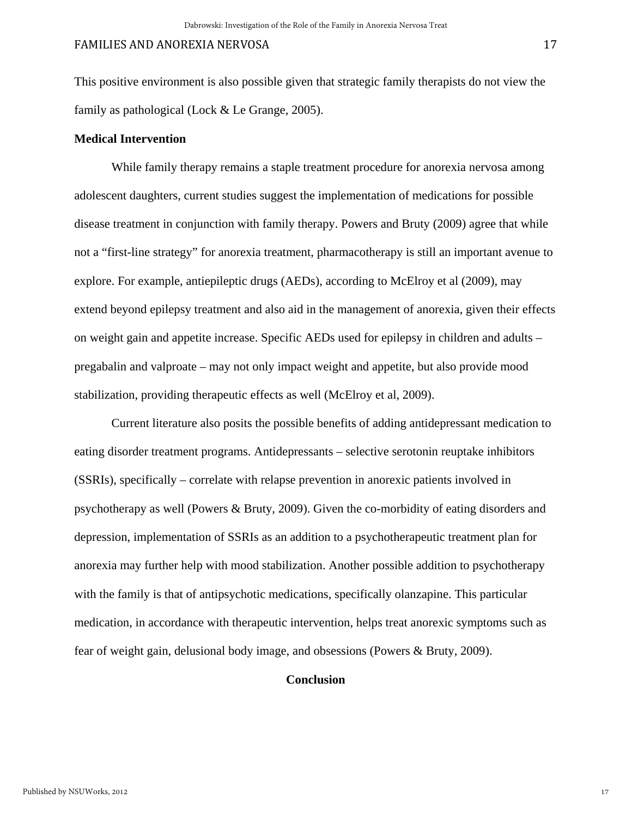This positive environment is also possible given that strategic family therapists do not view the family as pathological (Lock & Le Grange, 2005).

## **Medical Intervention**

 While family therapy remains a staple treatment procedure for anorexia nervosa among adolescent daughters, current studies suggest the implementation of medications for possible disease treatment in conjunction with family therapy. Powers and Bruty (2009) agree that while not a "first-line strategy" for anorexia treatment, pharmacotherapy is still an important avenue to explore. For example, antiepileptic drugs (AEDs), according to McElroy et al (2009), may extend beyond epilepsy treatment and also aid in the management of anorexia, given their effects on weight gain and appetite increase. Specific AEDs used for epilepsy in children and adults – pregabalin and valproate – may not only impact weight and appetite, but also provide mood stabilization, providing therapeutic effects as well (McElroy et al, 2009).

 Current literature also posits the possible benefits of adding antidepressant medication to eating disorder treatment programs. Antidepressants – selective serotonin reuptake inhibitors (SSRIs), specifically – correlate with relapse prevention in anorexic patients involved in psychotherapy as well (Powers & Bruty, 2009). Given the co-morbidity of eating disorders and depression, implementation of SSRIs as an addition to a psychotherapeutic treatment plan for anorexia may further help with mood stabilization. Another possible addition to psychotherapy with the family is that of antipsychotic medications, specifically olanzapine. This particular medication, in accordance with therapeutic intervention, helps treat anorexic symptoms such as fear of weight gain, delusional body image, and obsessions (Powers & Bruty, 2009).

# **Conclusion**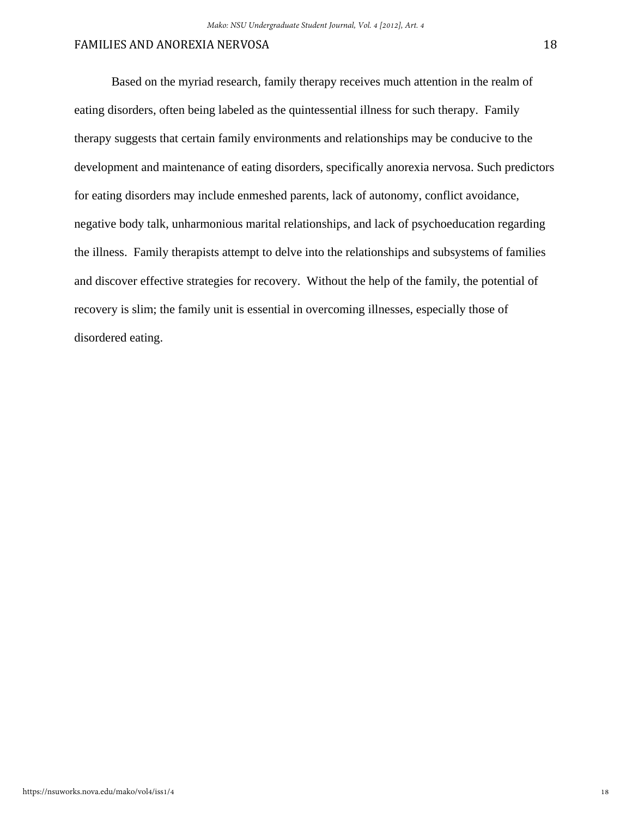Based on the myriad research, family therapy receives much attention in the realm of eating disorders, often being labeled as the quintessential illness for such therapy. Family therapy suggests that certain family environments and relationships may be conducive to the development and maintenance of eating disorders, specifically anorexia nervosa. Such predictors for eating disorders may include enmeshed parents, lack of autonomy, conflict avoidance, negative body talk, unharmonious marital relationships, and lack of psychoeducation regarding the illness. Family therapists attempt to delve into the relationships and subsystems of families and discover effective strategies for recovery. Without the help of the family, the potential of recovery is slim; the family unit is essential in overcoming illnesses, especially those of disordered eating.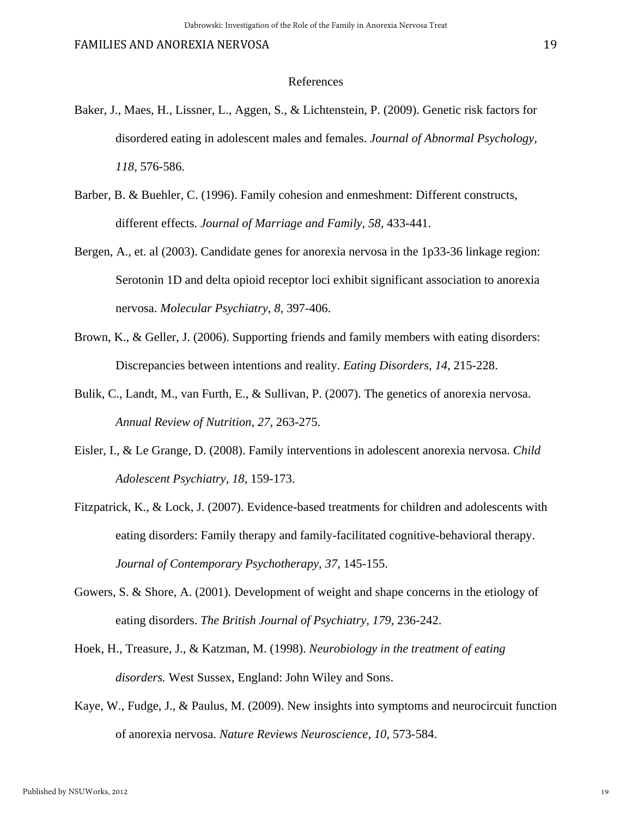#### References

- Baker, J., Maes, H., Lissner, L., Aggen, S., & Lichtenstein, P. (2009). Genetic risk factors for disordered eating in adolescent males and females. *Journal of Abnormal Psychology, 118,* 576-586.
- Barber, B. & Buehler, C. (1996). Family cohesion and enmeshment: Different constructs, different effects. *Journal of Marriage and Family, 58,* 433-441.
- Bergen, A., et. al (2003). Candidate genes for anorexia nervosa in the 1p33-36 linkage region: Serotonin 1D and delta opioid receptor loci exhibit significant association to anorexia nervosa. *Molecular Psychiatry, 8,* 397-406.
- Brown, K., & Geller, J. (2006). Supporting friends and family members with eating disorders: Discrepancies between intentions and reality. *Eating Disorders*, *14*, 215-228.
- Bulik, C., Landt, M., van Furth, E., & Sullivan, P. (2007). The genetics of anorexia nervosa. *Annual Review of Nutrition, 27,* 263-275.
- Eisler, I., & Le Grange, D. (2008). Family interventions in adolescent anorexia nervosa. *Child Adolescent Psychiatry*, *18*, 159-173.
- Fitzpatrick, K., & Lock, J. (2007). Evidence-based treatments for children and adolescents with eating disorders: Family therapy and family-facilitated cognitive-behavioral therapy. *Journal of Contemporary Psychotherapy*, *37*, 145-155.
- Gowers, S. & Shore, A. (2001). Development of weight and shape concerns in the etiology of eating disorders. *The British Journal of Psychiatry, 179,* 236-242.
- Hoek, H., Treasure, J., & Katzman, M. (1998). *Neurobiology in the treatment of eating disorders.* West Sussex, England: John Wiley and Sons.
- Kaye, W., Fudge, J., & Paulus, M. (2009). New insights into symptoms and neurocircuit function of anorexia nervosa. *Nature Reviews Neuroscience, 10,* 573-584.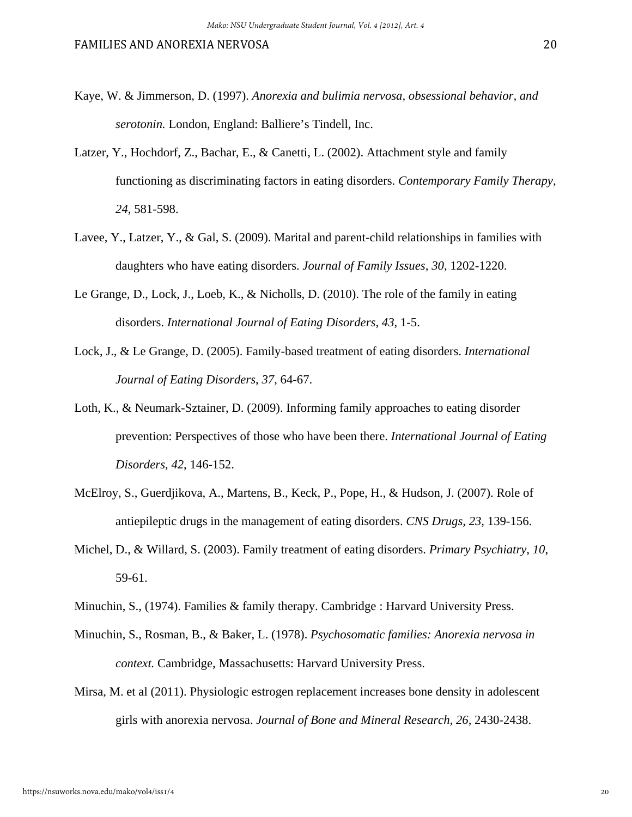- Kaye, W. & Jimmerson, D. (1997). *Anorexia and bulimia nervosa, obsessional behavior, and serotonin.* London, England: Balliere's Tindell, Inc.
- Latzer, Y., Hochdorf, Z., Bachar, E., & Canetti, L. (2002). Attachment style and family functioning as discriminating factors in eating disorders. *Contemporary Family Therapy*, *24*, 581-598.
- Lavee, Y., Latzer, Y., & Gal, S. (2009). Marital and parent-child relationships in families with daughters who have eating disorders. *Journal of Family Issues*, *30*, 1202-1220.
- Le Grange, D., Lock, J., Loeb, K., & Nicholls, D. (2010). The role of the family in eating disorders. *International Journal of Eating Disorders*, *43*, 1-5.
- Lock, J., & Le Grange, D. (2005). Family-based treatment of eating disorders. *International Journal of Eating Disorders*, *37*, 64-67.
- Loth, K., & Neumark-Sztainer, D. (2009). Informing family approaches to eating disorder prevention: Perspectives of those who have been there. *International Journal of Eating Disorders*, *42*, 146-152.
- McElroy, S., Guerdjikova, A., Martens, B., Keck, P., Pope, H., & Hudson, J. (2007). Role of antiepileptic drugs in the management of eating disorders. *CNS Drugs, 23,* 139-156.
- Michel, D., & Willard, S. (2003). Family treatment of eating disorders. *Primary Psychiatry*, *10*, 59-61.
- Minuchin, S., (1974). Families & family therapy. Cambridge : Harvard University Press.
- Minuchin, S., Rosman, B., & Baker, L. (1978). *Psychosomatic families: Anorexia nervosa in context.* Cambridge, Massachusetts: Harvard University Press.
- Mirsa, M. et al (2011). Physiologic estrogen replacement increases bone density in adolescent girls with anorexia nervosa. *Journal of Bone and Mineral Research, 26,* 2430-2438.